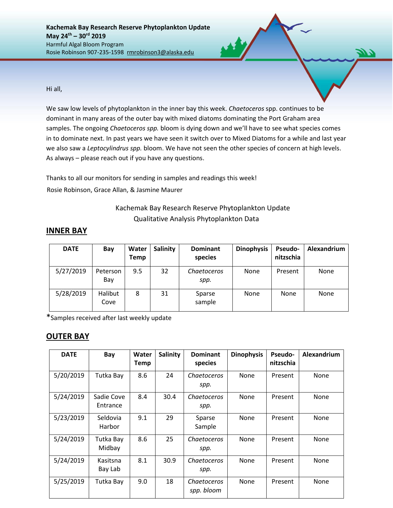Hi all,

We saw low levels of phytoplankton in the inner bay this week. *Chaetoceros* spp. continues to be dominant in many areas of the outer bay with mixed diatoms dominating the Port Graham area samples. The ongoing *Chaetoceros spp.* bloom is dying down and we'll have to see what species comes in to dominate next. In past years we have seen it switch over to Mixed Diatoms for a while and last year we also saw a *Leptocylindrus spp.* bloom. We have not seen the other species of concern at high levels. As always – please reach out if you have any questions.

Thanks to all our monitors for sending in samples and readings this week! Rosie Robinson, Grace Allan, & Jasmine Maurer

## Kachemak Bay Research Reserve Phytoplankton Update Qualitative Analysis Phytoplankton Data

| <b>DATE</b> | Bay             | Water<br>Temp | Salinity | <b>Dominant</b><br>species | <b>Dinophysis</b> | <b>Pseudo-</b><br>nitzschia | Alexandrium |
|-------------|-----------------|---------------|----------|----------------------------|-------------------|-----------------------------|-------------|
| 5/27/2019   | Peterson<br>Bay | 9.5           | 32       | <i>Chaetoceros</i><br>spp. | None              | Present                     | None        |
| 5/28/2019   | Halibut<br>Cove | 8             | 31       | Sparse<br>sample           | None              | None                        | None        |

\*Samples received after last weekly update

## **OUTER BAY**

| <b>DATE</b> | Bay                    | Water<br><b>Temp</b> | <b>Salinity</b> | <b>Dominant</b><br>species | <b>Dinophysis</b> | Pseudo-<br>nitzschia | Alexandrium |
|-------------|------------------------|----------------------|-----------------|----------------------------|-------------------|----------------------|-------------|
| 5/20/2019   | Tutka Bay              | 8.6                  | 24              | Chaetoceros<br>spp.        | None              | Present              | None        |
| 5/24/2019   | Sadie Cove<br>Entrance | 8.4                  | 30.4            | Chaetoceros<br>spp.        | None              | Present              | None        |
| 5/23/2019   | Seldovia<br>Harbor     | 9.1                  | 29              | Sparse<br>Sample           | None              | Present              | None        |
| 5/24/2019   | Tutka Bay<br>Midbay    | 8.6                  | 25              | <b>Chaetoceros</b><br>spp. | None              | Present              | None        |
| 5/24/2019   | Kasitsna<br>Bay Lab    | 8.1                  | 30.9            | <b>Chaetoceros</b><br>spp. | None              | Present              | None        |
| 5/25/2019   | Tutka Bay              | 9.0                  | 18              | Chaetoceros<br>spp. bloom  | None              | Present              | None        |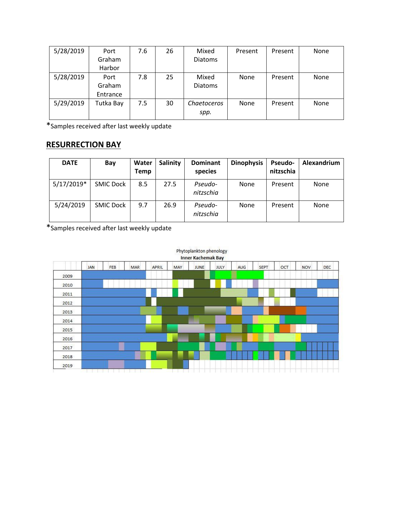| 5/28/2019 | Port      | 7.6 | 26 | Mixed          | Present | Present | None |
|-----------|-----------|-----|----|----------------|---------|---------|------|
|           | Graham    |     |    | <b>Diatoms</b> |         |         |      |
|           | Harbor    |     |    |                |         |         |      |
| 5/28/2019 | Port      | 7.8 | 25 | Mixed          | None    | Present | None |
|           | Graham    |     |    | <b>Diatoms</b> |         |         |      |
|           | Entrance  |     |    |                |         |         |      |
| 5/29/2019 | Tutka Bay | 7.5 | 30 | Chaetoceros    | None    | Present | None |
|           |           |     |    | spp.           |         |         |      |

\*Samples received after last weekly update

## **RESURRECTION BAY**

| <b>DATE</b>  | Bay              | Water<br><b>Temp</b> | <b>Salinity</b> | <b>Dominant</b><br>species | <b>Dinophysis</b> | <b>Pseudo-</b><br>nitzschia | Alexandrium |
|--------------|------------------|----------------------|-----------------|----------------------------|-------------------|-----------------------------|-------------|
| $5/17/2019*$ | <b>SMIC Dock</b> | 8.5                  | 27.5            | Pseudo-<br>nitzschia       | None              | Present                     | None        |
| 5/24/2019    | <b>SMIC Dock</b> | 9.7                  | 26.9            | Pseudo-<br>nitzschia       | None              | Present                     | None        |

\*Samples received after last weekly update